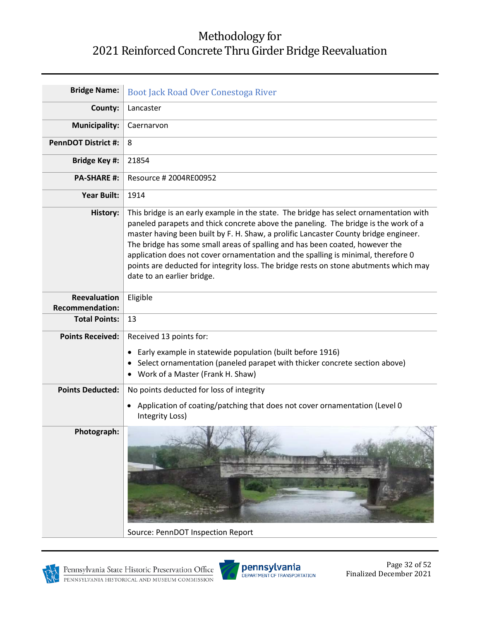## Methodology for 2021 Reinforced Concrete Thru Girder Bridge Reevaluation

| <b>Bridge Name:</b>                    | Boot Jack Road Over Conestoga River                                                                                                                                                                                                                                                                                                                                                                                                                                                                                                                               |
|----------------------------------------|-------------------------------------------------------------------------------------------------------------------------------------------------------------------------------------------------------------------------------------------------------------------------------------------------------------------------------------------------------------------------------------------------------------------------------------------------------------------------------------------------------------------------------------------------------------------|
| County:                                | Lancaster                                                                                                                                                                                                                                                                                                                                                                                                                                                                                                                                                         |
| <b>Municipality:</b>                   | Caernarvon                                                                                                                                                                                                                                                                                                                                                                                                                                                                                                                                                        |
| <b>PennDOT District #:</b>             | 8                                                                                                                                                                                                                                                                                                                                                                                                                                                                                                                                                                 |
| <b>Bridge Key #:</b>                   | 21854                                                                                                                                                                                                                                                                                                                                                                                                                                                                                                                                                             |
| <b>PA-SHARE #:</b>                     | Resource # 2004RE00952                                                                                                                                                                                                                                                                                                                                                                                                                                                                                                                                            |
| <b>Year Built:</b>                     | 1914                                                                                                                                                                                                                                                                                                                                                                                                                                                                                                                                                              |
| History:                               | This bridge is an early example in the state. The bridge has select ornamentation with<br>paneled parapets and thick concrete above the paneling. The bridge is the work of a<br>master having been built by F. H. Shaw, a prolific Lancaster County bridge engineer.<br>The bridge has some small areas of spalling and has been coated, however the<br>application does not cover ornamentation and the spalling is minimal, therefore 0<br>points are deducted for integrity loss. The bridge rests on stone abutments which may<br>date to an earlier bridge. |
| Reevaluation<br><b>Recommendation:</b> | Eligible                                                                                                                                                                                                                                                                                                                                                                                                                                                                                                                                                          |
| <b>Total Points:</b>                   | 13                                                                                                                                                                                                                                                                                                                                                                                                                                                                                                                                                                |
| <b>Points Received:</b>                | Received 13 points for:<br>• Early example in statewide population (built before 1916)<br>Select ornamentation (paneled parapet with thicker concrete section above)<br>٠<br>• Work of a Master (Frank H. Shaw)                                                                                                                                                                                                                                                                                                                                                   |
| <b>Points Deducted:</b>                | No points deducted for loss of integrity                                                                                                                                                                                                                                                                                                                                                                                                                                                                                                                          |
|                                        | Application of coating/patching that does not cover ornamentation (Level 0<br>Integrity Loss)                                                                                                                                                                                                                                                                                                                                                                                                                                                                     |
| Photograph:                            | Source: PennDOT Inspection Report                                                                                                                                                                                                                                                                                                                                                                                                                                                                                                                                 |